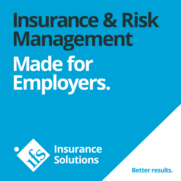# **Insurance & Risk Management Made for Employers.**





**Better results.**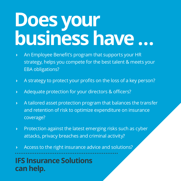## **Does your business have …**

- **›** An Employee Benefit's program that supports your HR strategy, helps you compete for the best talent & meets your EBA obligations?
- **›** A strategy to protect your profits on the loss of a key person?
- **›** Adequate protection for your directors & officers?
- **›** A tailored asset protection program that balances the transfer and retention of risk to optimize expenditure on insurance coverage?
- **›** Protection against the latest emerging risks such as cyber attacks, privacy breaches and criminal activity?
- **›** Access to the right insurance advice and solutions?

**IFS Insurance Solutions can help.**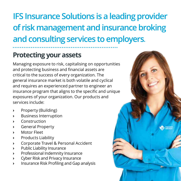### **IFS Insurance Solutions is a leading provider of risk management and insurance broking and consulting services to employers.**

### **Protecting your assets**

Managing exposure to risk, capitalising on opportunities and protecting business and financial assets are critical to the success of every organization. The general insurance market is both volatile and cyclical and requires an experienced partner to engineer an insurance program that aligns to the specific and unique exposures of your organization. Our products and services include:

- **›** Property (Building)
- **›** Business Interruption
- **›** Construction
- **›** General Property
- **›** Motor Fleet
- **›** Products Liability
- **›** Corporate Travel & Personal Accident
- **›** Public Liability Insurance
- **›** Professional Indemnity Insurance
- **›** Cyber Risk and Privacy Insurance
- **›** Insurance Risk Profiling and Gap analysis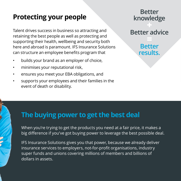## **Protecting your people Better Better**

Talent drives success in business so attracting and retaining the best people as well as protecting and supporting their health, wellbeing and security both here and abroad is paramount. IFS Insurance Solutions can structure an employee benefits program that

- builds your brand as an employer of choice,
- minimises your reputational risk,
- ensures you meet your EBA obligations, and
- supports your employees and their families in the event of death or disability.

## **knowledge**

#### **Better advice**

#### **Better results.**

#### **The buying power to get the best deal**

When you're trying to get the products you need at a fair price, it makes a big difference if you've got buying power to leverage the best possible deal.

IFS Insurance Solutions gives you that power, because we already deliver insurance services to employers, not-for-profit organisations, industry super funds and unions covering millions of members and billions of dollars in assets.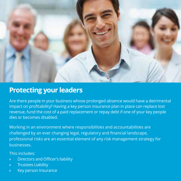

#### **Protecting your leaders**

Are there people in your business whose prolonged absence would have a detrimental impact on profitability? Having a key person insurance plan in place can replace lost revenue, fund the cost of a paid replacement or repay debt if one of your key people dies or becomes disabled.

Working in an environment where responsibilities and accountabilities are challenged by an ever changing legal, regulatory and financial landscape, professional risks are an essential element of any risk management strategy for businesses.

This includes:

- **›** Directors and Officer's liability
- **›** Trustees Liability
- **›** Key person Insurance